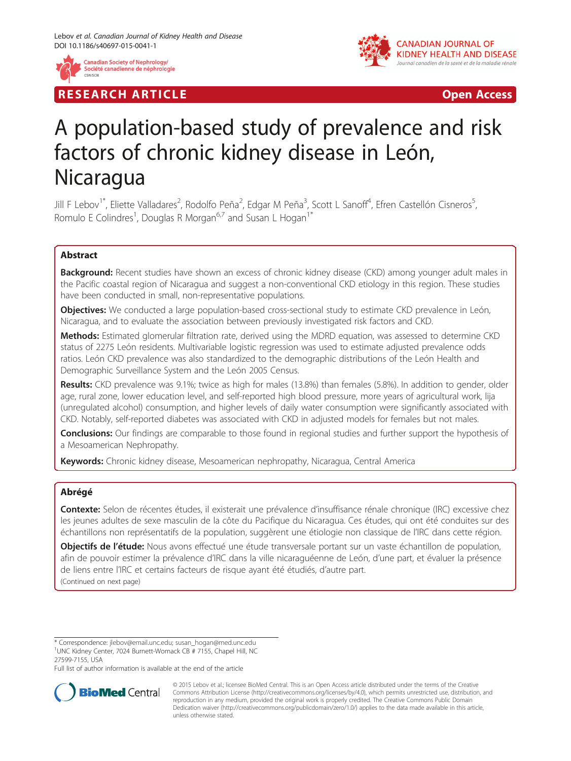

# **ESEARCH ARTICLE EXERCH ARTICLE** *COPEN ACCESS*



# A population-based study of prevalence and risk factors of chronic kidney disease in León, Nicaragua

Jill F Lebov<sup>1\*</sup>, Eliette Valladares<sup>2</sup>, Rodolfo Peña<sup>2</sup>, Edgar M Peña<sup>3</sup>, Scott L Sanoff<sup>4</sup>, Efren Castellón Cisneros<sup>5</sup> , Romulo E Colindres<sup>1</sup>, Douglas R Morgan<sup>6,7</sup> and Susan L Hogan<sup>1\*</sup>

# Abstract

Background: Recent studies have shown an excess of chronic kidney disease (CKD) among younger adult males in the Pacific coastal region of Nicaragua and suggest a non-conventional CKD etiology in this region. These studies have been conducted in small, non-representative populations.

Objectives: We conducted a large population-based cross-sectional study to estimate CKD prevalence in León, Nicaragua, and to evaluate the association between previously investigated risk factors and CKD.

Methods: Estimated glomerular filtration rate, derived using the MDRD equation, was assessed to determine CKD status of 2275 León residents. Multivariable logistic regression was used to estimate adjusted prevalence odds ratios. León CKD prevalence was also standardized to the demographic distributions of the León Health and Demographic Surveillance System and the León 2005 Census.

Results: CKD prevalence was 9.1%; twice as high for males (13.8%) than females (5.8%). In addition to gender, older age, rural zone, lower education level, and self-reported high blood pressure, more years of agricultural work, lija (unregulated alcohol) consumption, and higher levels of daily water consumption were significantly associated with CKD. Notably, self-reported diabetes was associated with CKD in adjusted models for females but not males.

**Conclusions:** Our findings are comparable to those found in regional studies and further support the hypothesis of a Mesoamerican Nephropathy.

Keywords: Chronic kidney disease, Mesoamerican nephropathy, Nicaragua, Central America

# Abrégé

Contexte: Selon de récentes études, il existerait une prévalence d'insuffisance rénale chronique (IRC) excessive chez les jeunes adultes de sexe masculin de la côte du Pacifique du Nicaragua. Ces études, qui ont été conduites sur des échantillons non représentatifs de la population, suggèrent une étiologie non classique de l'IRC dans cette région.

Objectifs de l'étude: Nous avons effectué une étude transversale portant sur un vaste échantillon de population, afin de pouvoir estimer la prévalence d'IRC dans la ville nicaraguéenne de León, d'une part, et évaluer la présence de liens entre l'IRC et certains facteurs de risque ayant été étudiés, d'autre part. (Continued on next page)

\* Correspondence: [jlebov@email.unc.edu](mailto:jlebov@email.unc.edu); [susan\\_hogan@med.unc.edu](mailto:susan_hogan@med.unc.edu) <sup>1</sup> <sup>1</sup>UNC Kidney Center, 7024 Burnett-Womack CB # 7155, Chapel Hill, NC 27599-7155, USA

Full list of author information is available at the end of the article



© 2015 Lebov et al.; licensee BioMed Central. This is an Open Access article distributed under the terms of the Creative Commons Attribution License [\(http://creativecommons.org/licenses/by/4.0\)](http://creativecommons.org/licenses/by/4.0), which permits unrestricted use, distribution, and reproduction in any medium, provided the original work is properly credited. The Creative Commons Public Domain Dedication waiver [\(http://creativecommons.org/publicdomain/zero/1.0/](http://creativecommons.org/publicdomain/zero/1.0/)) applies to the data made available in this article, unless otherwise stated.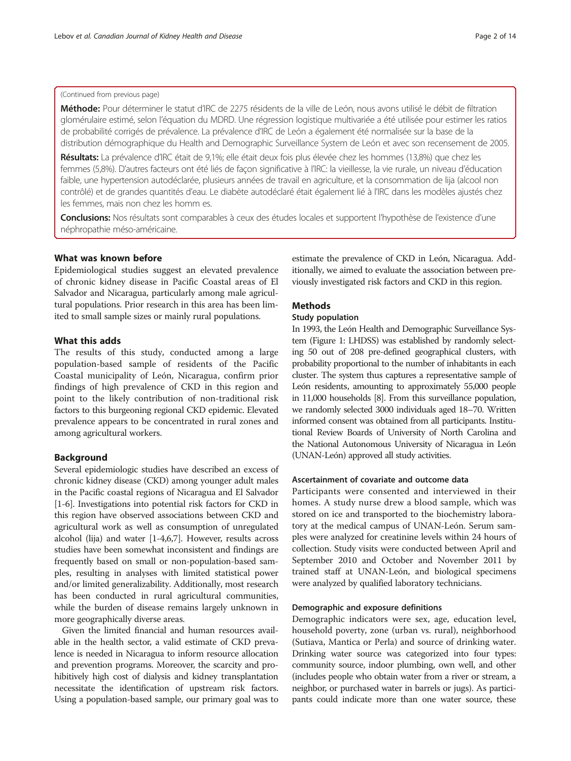## (Continued from previous page)

Méthode: Pour déterminer le statut d'IRC de 2275 résidents de la ville de León, nous avons utilisé le débit de filtration glomérulaire estimé, selon l'équation du MDRD. Une régression logistique multivariée a été utilisée pour estimer les ratios de probabilité corrigés de prévalence. La prévalence d'IRC de León a également été normalisée sur la base de la distribution démographique du Health and Demographic Surveillance System de León et avec son recensement de 2005.

Résultats: La prévalence d'IRC était de 9,1%; elle était deux fois plus élevée chez les hommes (13,8%) que chez les femmes (5,8%). D'autres facteurs ont été liés de façon significative à l'IRC: la vieillesse, la vie rurale, un niveau d'éducation faible, une hypertension autodéclarée, plusieurs années de travail en agriculture, et la consommation de lija (alcool non contrôlé) et de grandes quantités d'eau. Le diabète autodéclaré était également lié à l'IRC dans les modèles ajustés chez les femmes, mais non chez les homm es.

Conclusions: Nos résultats sont comparables à ceux des études locales et supportent l'hypothèse de l'existence d'une néphropathie méso-américaine.

## What was known before

Epidemiological studies suggest an elevated prevalence of chronic kidney disease in Pacific Coastal areas of El Salvador and Nicaragua, particularly among male agricultural populations. Prior research in this area has been limited to small sample sizes or mainly rural populations.

## What this adds

The results of this study, conducted among a large population-based sample of residents of the Pacific Coastal municipality of León, Nicaragua, confirm prior findings of high prevalence of CKD in this region and point to the likely contribution of non-traditional risk factors to this burgeoning regional CKD epidemic. Elevated prevalence appears to be concentrated in rural zones and among agricultural workers.

## Background

Several epidemiologic studies have described an excess of chronic kidney disease (CKD) among younger adult males in the Pacific coastal regions of Nicaragua and El Salvador [[1-6\]](#page-12-0). Investigations into potential risk factors for CKD in this region have observed associations between CKD and agricultural work as well as consumption of unregulated alcohol (lija) and water [[1-4,6,7\]](#page-12-0). However, results across studies have been somewhat inconsistent and findings are frequently based on small or non-population-based samples, resulting in analyses with limited statistical power and/or limited generalizability. Additionally, most research has been conducted in rural agricultural communities, while the burden of disease remains largely unknown in more geographically diverse areas.

Given the limited financial and human resources available in the health sector, a valid estimate of CKD prevalence is needed in Nicaragua to inform resource allocation and prevention programs. Moreover, the scarcity and prohibitively high cost of dialysis and kidney transplantation necessitate the identification of upstream risk factors. Using a population-based sample, our primary goal was to estimate the prevalence of CKD in León, Nicaragua. Additionally, we aimed to evaluate the association between previously investigated risk factors and CKD in this region.

# **Mathods**

## Study population

In 1993, the León Health and Demographic Surveillance System (Figure [1](#page-2-0): LHDSS) was established by randomly selecting 50 out of 208 pre-defined geographical clusters, with probability proportional to the number of inhabitants in each cluster. The system thus captures a representative sample of León residents, amounting to approximately 55,000 people in 11,000 households [\[8\]](#page-12-0). From this surveillance population, we randomly selected 3000 individuals aged 18–70. Written informed consent was obtained from all participants. Institutional Review Boards of University of North Carolina and the National Autonomous University of Nicaragua in León (UNAN-León) approved all study activities.

## Ascertainment of covariate and outcome data

Participants were consented and interviewed in their homes. A study nurse drew a blood sample, which was stored on ice and transported to the biochemistry laboratory at the medical campus of UNAN-León. Serum samples were analyzed for creatinine levels within 24 hours of collection. Study visits were conducted between April and September 2010 and October and November 2011 by trained staff at UNAN-León, and biological specimens were analyzed by qualified laboratory technicians.

#### Demographic and exposure definitions

Demographic indicators were sex, age, education level, household poverty, zone (urban vs. rural), neighborhood (Sutiava, Mantica or Perla) and source of drinking water. Drinking water source was categorized into four types: community source, indoor plumbing, own well, and other (includes people who obtain water from a river or stream, a neighbor, or purchased water in barrels or jugs). As participants could indicate more than one water source, these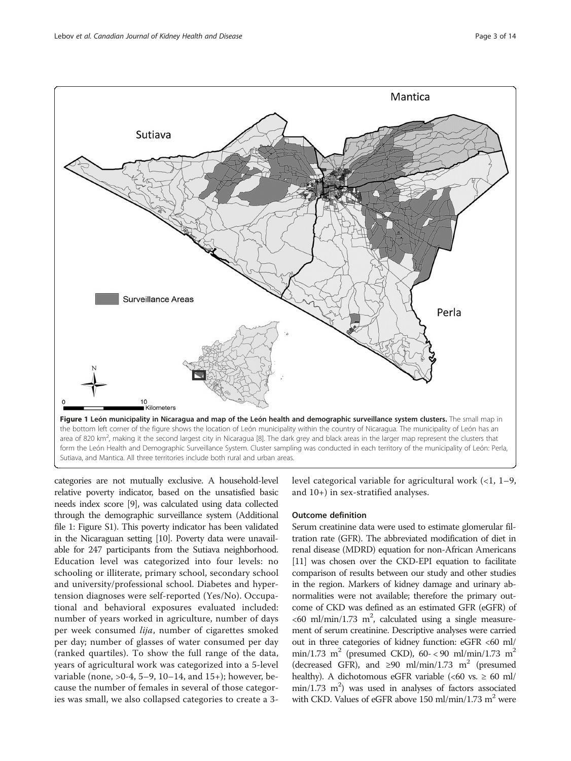<span id="page-2-0"></span>

categories are not mutually exclusive. A household-level relative poverty indicator, based on the unsatisfied basic needs index score [[9](#page-12-0)], was calculated using data collected through the demographic surveillance system (Additional file [1](#page-12-0): Figure S1). This poverty indicator has been validated in the Nicaraguan setting [\[10\]](#page-12-0). Poverty data were unavailable for 247 participants from the Sutiava neighborhood. Education level was categorized into four levels: no schooling or illiterate, primary school, secondary school and university/professional school. Diabetes and hypertension diagnoses were self-reported (Yes/No). Occupational and behavioral exposures evaluated included: number of years worked in agriculture, number of days per week consumed lija, number of cigarettes smoked per day; number of glasses of water consumed per day (ranked quartiles). To show the full range of the data, years of agricultural work was categorized into a 5-level variable (none,  $>0-4$ , 5–9, 10–14, and 15+); however, because the number of females in several of those categories was small, we also collapsed categories to create a 3level categorical variable for agricultural work  $(1, 1-9)$ , and 10+) in sex-stratified analyses.

## Outcome definition

Serum creatinine data were used to estimate glomerular filtration rate (GFR). The abbreviated modification of diet in renal disease (MDRD) equation for non-African Americans [[11](#page-12-0)] was chosen over the CKD-EPI equation to facilitate comparison of results between our study and other studies in the region. Markers of kidney damage and urinary abnormalities were not available; therefore the primary outcome of CKD was defined as an estimated GFR (eGFR) of <60 ml/min/1.73 m<sup>2</sup>, calculated using a single measurement of serum creatinine. Descriptive analyses were carried out in three categories of kidney function: eGFR <60 ml/ min/1.73 m<sup>2</sup> (presumed CKD),  $60 - < 90$  ml/min/1.73 m<sup>2</sup> (decreased GFR), and  $\geq 90$  ml/min/1.73 m<sup>2</sup> (presumed healthy). A dichotomous eGFR variable  $(<60$  vs.  $\geq 60$  ml/  $min/1.73$   $m<sup>2</sup>$ ) was used in analyses of factors associated with CKD. Values of eGFR above 150 ml/min/1.73 m<sup>2</sup> were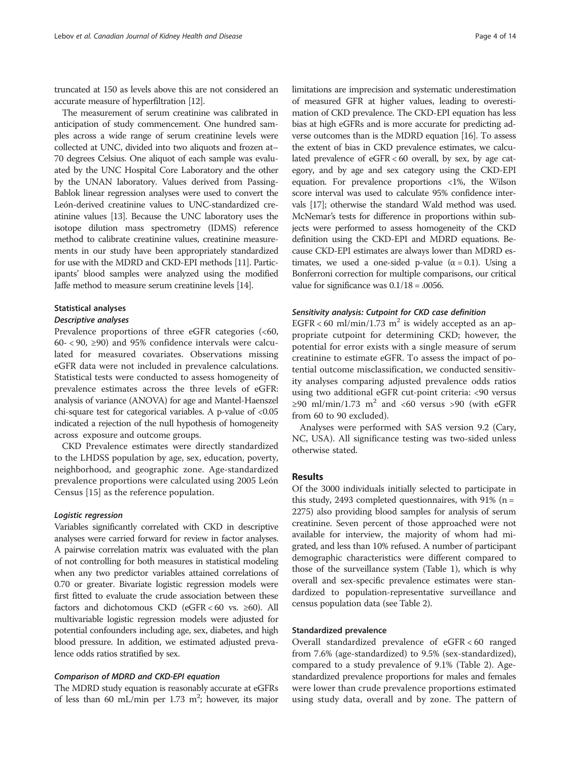truncated at 150 as levels above this are not considered an accurate measure of hyperfiltration [\[12\]](#page-12-0).

The measurement of serum creatinine was calibrated in anticipation of study commencement. One hundred samples across a wide range of serum creatinine levels were collected at UNC, divided into two aliquots and frozen at– 70 degrees Celsius. One aliquot of each sample was evaluated by the UNC Hospital Core Laboratory and the other by the UNAN laboratory. Values derived from Passing-Bablok linear regression analyses were used to convert the León-derived creatinine values to UNC-standardized creatinine values [\[13\]](#page-12-0). Because the UNC laboratory uses the isotope dilution mass spectrometry (IDMS) reference method to calibrate creatinine values, creatinine measurements in our study have been appropriately standardized for use with the MDRD and CKD-EPI methods [[11](#page-12-0)]. Participants' blood samples were analyzed using the modified Jaffe method to measure serum creatinine levels [\[14](#page-12-0)].

#### Statistical analyses

#### Descriptive analyses

Prevalence proportions of three eGFR categories (<60, 60 $-$ <90, ≥90) and 95% confidence intervals were calculated for measured covariates. Observations missing eGFR data were not included in prevalence calculations. Statistical tests were conducted to assess homogeneity of prevalence estimates across the three levels of eGFR: analysis of variance (ANOVA) for age and Mantel-Haenszel chi-square test for categorical variables. A p-value of <0.05 indicated a rejection of the null hypothesis of homogeneity across exposure and outcome groups.

CKD Prevalence estimates were directly standardized to the LHDSS population by age, sex, education, poverty, neighborhood, and geographic zone. Age-standardized prevalence proportions were calculated using 2005 León Census [\[15\]](#page-12-0) as the reference population.

#### Logistic regression

Variables significantly correlated with CKD in descriptive analyses were carried forward for review in factor analyses. A pairwise correlation matrix was evaluated with the plan of not controlling for both measures in statistical modeling when any two predictor variables attained correlations of 0.70 or greater. Bivariate logistic regression models were first fitted to evaluate the crude association between these factors and dichotomous CKD (eGFR  $< 60$  vs.  $\geq 60$ ). All multivariable logistic regression models were adjusted for potential confounders including age, sex, diabetes, and high blood pressure. In addition, we estimated adjusted prevalence odds ratios stratified by sex.

#### Comparison of MDRD and CKD-EPI equation

The MDRD study equation is reasonably accurate at eGFRs of less than 60 mL/min per 1.73  $m^2$ ; however, its major

limitations are imprecision and systematic underestimation of measured GFR at higher values, leading to overestimation of CKD prevalence. The CKD-EPI equation has less bias at high eGFRs and is more accurate for predicting adverse outcomes than is the MDRD equation [\[16\]](#page-12-0). To assess the extent of bias in CKD prevalence estimates, we calculated prevalence of eGFR < 60 overall, by sex, by age category, and by age and sex category using the CKD-EPI equation. For prevalence proportions <1%, the Wilson score interval was used to calculate 95% confidence intervals [\[17\]](#page-12-0); otherwise the standard Wald method was used. McNemar's tests for difference in proportions within subjects were performed to assess homogeneity of the CKD definition using the CKD-EPI and MDRD equations. Because CKD-EPI estimates are always lower than MDRD estimates, we used a one-sided p-value ( $\alpha = 0.1$ ). Using a Bonferroni correction for multiple comparisons, our critical value for significance was  $0.1/18 = .0056$ .

## Sensitivity analysis: Cutpoint for CKD case definition

EGFR < 60 ml/min/1.73 m<sup>2</sup> is widely accepted as an appropriate cutpoint for determining CKD; however, the potential for error exists with a single measure of serum creatinine to estimate eGFR. To assess the impact of potential outcome misclassification, we conducted sensitivity analyses comparing adjusted prevalence odds ratios using two additional eGFR cut-point criteria: <90 versus ≥90 ml/min/1.73 m<sup>2</sup> and <60 versus >90 (with eGFR from 60 to 90 excluded).

Analyses were performed with SAS version 9.2 (Cary, NC, USA). All significance testing was two-sided unless otherwise stated.

#### Results

Of the 3000 individuals initially selected to participate in this study, 2493 completed questionnaires, with 91% ( $n =$ 2275) also providing blood samples for analysis of serum creatinine. Seven percent of those approached were not available for interview, the majority of whom had migrated, and less than 10% refused. A number of participant demographic characteristics were different compared to those of the surveillance system (Table [1\)](#page-4-0), which is why overall and sex-specific prevalence estimates were standardized to population-representative surveillance and census population data (see Table [2\)](#page-4-0).

#### Standardized prevalence

Overall standardized prevalence of eGFR < 60 ranged from 7.6% (age-standardized) to 9.5% (sex-standardized), compared to a study prevalence of 9.1% (Table [2\)](#page-4-0). Agestandardized prevalence proportions for males and females were lower than crude prevalence proportions estimated using study data, overall and by zone. The pattern of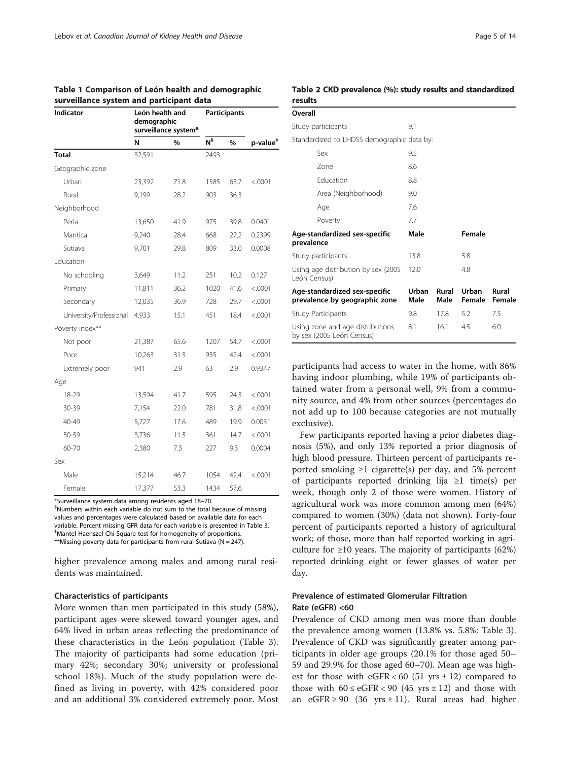| Indicator               | León health and<br>demographic | surveillance system* | Participants     |                      |         |
|-------------------------|--------------------------------|----------------------|------------------|----------------------|---------|
|                         | %<br>N                         |                      | $N^{\mathsf{S}}$ | p-value <sup>#</sup> |         |
| <b>Total</b>            | 32,591                         |                      | 2493             |                      |         |
| Geographic zone         |                                |                      |                  |                      |         |
| Urban                   | 23,392                         | 71.8                 | 1585             | 63.7                 | < .0001 |
| Rural                   | 9,199                          | 28.2                 | 903              | 36.3                 |         |
| Neighborhood            |                                |                      |                  |                      |         |
| Perla                   | 13,650                         | 41.9                 | 975              | 39.8                 | 0.0401  |
| Mantica                 | 9,240                          | 28.4                 | 668              | 27.2                 | 0.2399  |
| Sutiava                 | 9,701                          | 29.8                 | 809              | 33.0                 | 0.0008  |
| Education               |                                |                      |                  |                      |         |
| No schooling            | 3,649                          | 11.2                 | 251              | 10.2                 | 0.127   |
| Primary                 | 11,811                         | 36.2                 | 1020             | 41.6                 | < .0001 |
| Secondary               | 12,035                         | 36.9                 | 728              | 29.7                 | < .0001 |
| University/Professional | 4,933                          | 15.1                 | 451              | 18.4                 | < .0001 |
| Poverty index**         |                                |                      |                  |                      |         |
| Not poor                | 21,387                         | 65.6                 | 1207             | 54.7                 | < .0001 |
| Poor                    | 10,263                         | 31.5                 | 935              | 42.4                 | < .0001 |
| Extremely poor          | 941                            | 2.9                  | 63               | 2.9                  | 0.9347  |
| Age                     |                                |                      |                  |                      |         |
| 18-29                   | 13,594                         | 41.7                 | 595              | 24.3                 | < .0001 |
| 30-39                   | 7,154                          | 22.0                 | 781              | 31.8                 | < .0001 |
| 40-49                   | 5,727                          | 17.6                 | 489              | 19.9                 | 0.0031  |
| 50-59                   | 3,736                          | 11.5                 | 361              | 14.7                 | < .0001 |
| 60-70                   | 2,380                          | 7.3                  | 227              | 9.3                  | 0.0004  |
| Sex                     |                                |                      |                  |                      |         |
| Male                    | 15,214                         | 46.7                 | 1054             | 42.4                 | < .0001 |
| Female                  | 17,377                         | 53.3                 | 1434             | 57.6                 |         |

#### <span id="page-4-0"></span>Table 1 Comparison of León health and demographic surveillance system and participant data

\*Surveillance system data among residents aged 18–70. §

<sup>§</sup>Numbers within each variable do not sum to the total because of missing values and percentages were calculated based on available data for each variable. Percent missing GFR data for each variable is presented in Table [3](#page-5-0). Mantel-Haenszel Chi-Square test for homogeneity of proportions. \*\*Missing poverty data for participants from rural Sutiava ( $N = 247$ ).

higher prevalence among males and among rural residents was maintained.

#### Characteristics of participants

More women than men participated in this study (58%), participant ages were skewed toward younger ages, and 64% lived in urban areas reflecting the predominance of these characteristics in the León population (Table [3](#page-5-0)). The majority of participants had some education (primary 42%; secondary 30%; university or professional school 18%). Much of the study population were defined as living in poverty, with 42% considered poor and an additional 3% considered extremely poor. Most

## Table 2 CKD prevalence (%): study results and standardized results

| Overall                                                        |               |               |                 |                 |
|----------------------------------------------------------------|---------------|---------------|-----------------|-----------------|
| Study participants                                             | 9.1           |               |                 |                 |
| Standardized to LHDSS demographic data by:                     |               |               |                 |                 |
| Sex                                                            | 9.5           |               |                 |                 |
| Zone                                                           | 8.6           |               |                 |                 |
| Education                                                      | 8.8           |               |                 |                 |
| Area (Neighborhood)                                            | 9.0           |               |                 |                 |
| Age                                                            | 7.6           |               |                 |                 |
| Poverty                                                        | 7.7           |               |                 |                 |
| Age-standardized sex-specific<br>prevalence                    | Male          |               | Female          |                 |
| Study participants                                             | 13.8          |               | 5.8             |                 |
| Using age distribution by sex (2005)<br>León Census)           | 12.0          |               | 4.8             |                 |
| Age-standardized sex-specific<br>prevalence by geographic zone | Urban<br>Male | Rural<br>Male | Urban<br>Female | Rural<br>Female |
| Study Participants                                             | 9.8           | 17.8          | 5.2             | 7.5             |
| Using zone and age distributions<br>by sex (2005 León Census)  | 8.1           | 16.1          | 4.5             | 6.0             |

participants had access to water in the home, with 86% having indoor plumbing, while 19% of participants obtained water from a personal well, 9% from a community source, and 4% from other sources (percentages do not add up to 100 because categories are not mutually exclusive).

Few participants reported having a prior diabetes diagnosis (5%), and only 13% reported a prior diagnosis of high blood pressure. Thirteen percent of participants reported smoking  $\geq 1$  cigarette(s) per day, and 5% percent of participants reported drinking lija ≥1 time(s) per week, though only 2 of those were women. History of agricultural work was more common among men (64%) compared to women (30%) (data not shown). Forty-four percent of participants reported a history of agricultural work; of those, more than half reported working in agriculture for  $\geq 10$  years. The majority of participants (62%) reported drinking eight or fewer glasses of water per day.

# Prevalence of estimated Glomerular Filtration Rate (eGFR) <60

Prevalence of CKD among men was more than double the prevalence among women (13.8% vs. 5.8%: Table [3](#page-5-0)). Prevalence of CKD was significantly greater among participants in older age groups (20.1% for those aged 50– 59 and 29.9% for those aged 60–70). Mean age was highest for those with  $eGFR < 60$  (51 yrs  $\pm$  12) compared to those with  $60 \le eGFR < 90 (45 \text{ yrs} \pm 12)$  and those with an eGFR  $\geq$  90 (36 yrs  $\pm$  11). Rural areas had higher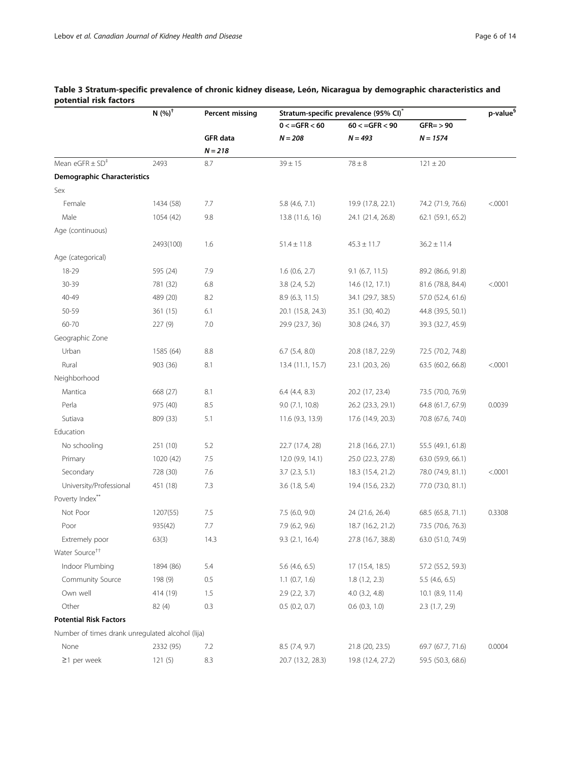|                                                  | $N(%)^{+}$ | <b>Percent missing</b> | Stratum-specific prevalence (95% CI) <sup>*</sup> |                    | p-value <sup>§</sup> |         |
|--------------------------------------------------|------------|------------------------|---------------------------------------------------|--------------------|----------------------|---------|
|                                                  |            |                        | $0 < = GFR < 60$                                  | $60 < = GFR < 90$  | $GFR = > 90$         |         |
|                                                  |            | <b>GFR</b> data        | $N = 208$                                         | $N = 493$          | $N = 1574$           |         |
|                                                  |            | $N = 218$              |                                                   |                    |                      |         |
| Mean $eGFR \pm SD^*$                             | 2493       | 8.7                    | $39 \pm 15$                                       | $78 \pm 8$         | $121 \pm 20$         |         |
| <b>Demographic Characteristics</b>               |            |                        |                                                   |                    |                      |         |
| Sex                                              |            |                        |                                                   |                    |                      |         |
| Female                                           | 1434 (58)  | 7.7                    | $5.8$ (4.6, 7.1)                                  | 19.9 (17.8, 22.1)  | 74.2 (71.9, 76.6)    | < .0001 |
| Male                                             | 1054 (42)  | 9.8                    | 13.8 (11.6, 16)                                   | 24.1 (21.4, 26.8)  | 62.1 (59.1, 65.2)    |         |
| Age (continuous)                                 |            |                        |                                                   |                    |                      |         |
|                                                  | 2493(100)  | 1.6                    | $51.4 \pm 11.8$                                   | $45.3 \pm 11.7$    | $36.2 \pm 11.4$      |         |
| Age (categorical)                                |            |                        |                                                   |                    |                      |         |
| 18-29                                            | 595 (24)   | 7.9                    | 1.6(0.6, 2.7)                                     | $9.1$ (6.7, 11.5)  | 89.2 (86.6, 91.8)    |         |
| 30-39                                            | 781 (32)   | 6.8                    | 3.8(2.4, 5.2)                                     | 14.6 (12, 17.1)    | 81.6 (78.8, 84.4)    | < .0001 |
| 40-49                                            | 489 (20)   | 8.2                    | 8.9 (6.3, 11.5)                                   | 34.1 (29.7, 38.5)  | 57.0 (52.4, 61.6)    |         |
| 50-59                                            | 361 (15)   | 6.1                    | 20.1 (15.8, 24.3)                                 | 35.1 (30, 40.2)    | 44.8 (39.5, 50.1)    |         |
| 60-70                                            | 227(9)     | 7.0                    | 29.9 (23.7, 36)                                   | 30.8 (24.6, 37)    | 39.3 (32.7, 45.9)    |         |
| Geographic Zone                                  |            |                        |                                                   |                    |                      |         |
| Urban                                            | 1585 (64)  | 8.8                    | $6.7$ $(5.4, 8.0)$                                | 20.8 (18.7, 22.9)  | 72.5 (70.2, 74.8)    |         |
| Rural                                            | 903 (36)   | 8.1                    | 13.4 (11.1, 15.7)                                 | 23.1 (20.3, 26)    | 63.5 (60.2, 66.8)    | < .0001 |
| Neighborhood                                     |            |                        |                                                   |                    |                      |         |
| Mantica                                          | 668 (27)   | 8.1                    | $6.4$ (4.4, 8.3)                                  | 20.2 (17, 23.4)    | 73.5 (70.0, 76.9)    |         |
| Perla                                            | 975 (40)   | 8.5                    | 9.0(7.1, 10.8)                                    | 26.2 (23.3, 29.1)  | 64.8 (61.7, 67.9)    | 0.0039  |
| Sutiava                                          | 809 (33)   | 5.1                    | 11.6 (9.3, 13.9)                                  | 17.6 (14.9, 20.3)  | 70.8 (67.6, 74.0)    |         |
| Education                                        |            |                        |                                                   |                    |                      |         |
| No schooling                                     | 251(10)    | 5.2                    | 22.7 (17.4, 28)                                   | 21.8 (16.6, 27.1)  | 55.5 (49.1, 61.8)    |         |
| Primary                                          | 1020 (42)  | 7.5                    | $12.0$ (9.9, 14.1)                                | 25.0 (22.3, 27.8)  | 63.0 (59.9, 66.1)    |         |
| Secondary                                        | 728 (30)   | 7.6                    | 3.7(2.3, 5.1)                                     | 18.3 (15.4, 21.2)  | 78.0 (74.9, 81.1)    | < .0001 |
| University/Professional                          | 451 (18)   | 7.3                    | 3.6(1.8, 5.4)                                     | 19.4 (15.6, 23.2)  | 77.0 (73.0, 81.1)    |         |
| Poverty Index**                                  |            |                        |                                                   |                    |                      |         |
| Not Poor                                         | 1207(55)   | 7.5                    | 7.5(6.0, 9.0)                                     | 24 (21.6, 26.4)    | 68.5 (65.8, 71.1)    | 0.3308  |
| Poor                                             | 935(42)    | 7.7                    | 7.9(6.2, 9.6)                                     | 18.7 (16.2, 21.2)  | 73.5 (70.6, 76.3)    |         |
| Extremely poor                                   | 63(3)      | 14.3                   | $9.3$ $(2.1, 16.4)$                               | 27.8 (16.7, 38.8)  | 63.0 (51.0, 74.9)    |         |
| Water Source <sup>††</sup>                       |            |                        |                                                   |                    |                      |         |
| Indoor Plumbing                                  | 1894 (86)  | 5.4                    | $5.6$ (4.6, 6.5)                                  | 17 (15.4, 18.5)    | 57.2 (55.2, 59.3)    |         |
| Community Source                                 | 198 (9)    | 0.5                    | $1.1$ (0.7, 1.6)                                  | 1.8(1.2, 2.3)      | 5.5(4.6, 6.5)        |         |
| Own well                                         | 414 (19)   | 1.5                    | 2.9(2.2, 3.7)                                     | $4.0$ $(3.2, 4.8)$ | 10.1 (8.9, 11.4)     |         |
| Other                                            | 82 (4)     | 0.3                    | $0.5$ $(0.2, 0.7)$                                | $0.6$ $(0.3, 1.0)$ | 2.3(1.7, 2.9)        |         |
| <b>Potential Risk Factors</b>                    |            |                        |                                                   |                    |                      |         |
| Number of times drank unregulated alcohol (lija) |            |                        |                                                   |                    |                      |         |
| None                                             | 2332 (95)  | 7.2                    | 8.5(7.4, 9.7)                                     | 21.8 (20, 23.5)    | 69.7 (67.7, 71.6)    | 0.0004  |
| $\geq$ 1 per week                                | 121(5)     | 8.3                    | 20.7 (13.2, 28.3)                                 | 19.8 (12.4, 27.2)  | 59.5 (50.3, 68.6)    |         |

## <span id="page-5-0"></span>Table 3 Stratum-specific prevalence of chronic kidney disease, León, Nicaragua by demographic characteristics and potential risk factors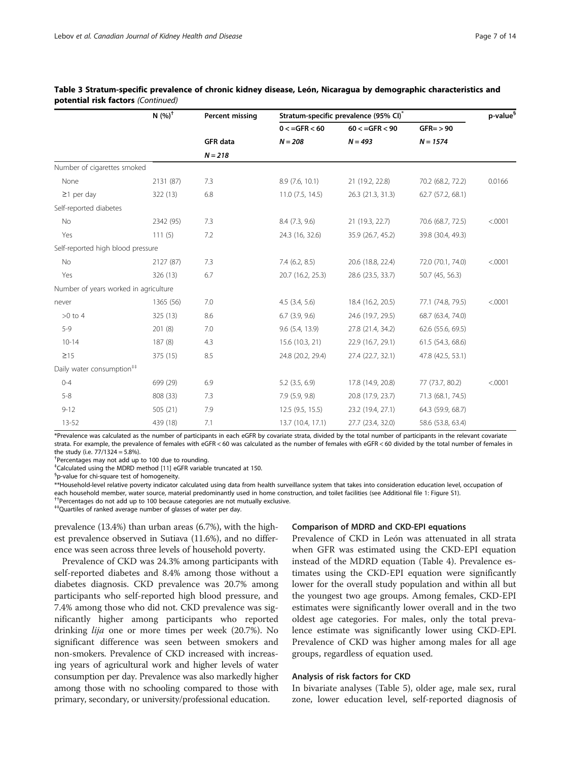| Page 7 of 14 |  |  |  |  |  |
|--------------|--|--|--|--|--|
|--------------|--|--|--|--|--|

|                                       | $N(%)^{\dagger}$ | <b>Percent missing</b> | Stratum-specific prevalence (95% CI)* | p-value <sup>§</sup> |                   |         |
|---------------------------------------|------------------|------------------------|---------------------------------------|----------------------|-------------------|---------|
|                                       |                  |                        | $0 < = GFR < 60$                      | $60 < = GFR < 90$    | $GFR = > 90$      |         |
|                                       |                  | <b>GFR</b> data        | $N = 208$                             | $N = 493$            | $N = 1574$        |         |
|                                       |                  | $N = 218$              |                                       |                      |                   |         |
| Number of cigarettes smoked           |                  |                        |                                       |                      |                   |         |
| None                                  | 2131 (87)        | 7.3                    | 8.9(7.6, 10.1)                        | 21 (19.2, 22.8)      | 70.2 (68.2, 72.2) | 0.0166  |
| $\geq$ 1 per day                      | 322 (13)         | 6.8                    | 11.0 (7.5, 14.5)                      | 26.3 (21.3, 31.3)    | 62.7 (57.2, 68.1) |         |
| Self-reported diabetes                |                  |                        |                                       |                      |                   |         |
| No                                    | 2342 (95)        | 7.3                    | 8.4(7.3, 9.6)                         | 21 (19.3, 22.7)      | 70.6 (68.7, 72.5) | < .0001 |
| Yes                                   | 111(5)           | 7.2                    | 24.3 (16, 32.6)                       | 35.9 (26.7, 45.2)    | 39.8 (30.4, 49.3) |         |
| Self-reported high blood pressure     |                  |                        |                                       |                      |                   |         |
| No                                    | 2127 (87)        | 7.3                    | $7.4$ (6.2, 8.5)                      | 20.6 (18.8, 22.4)    | 72.0 (70.1, 74.0) | < .0001 |
| Yes                                   | 326 (13)         | 6.7                    | 20.7 (16.2, 25.3)                     | 28.6 (23.5, 33.7)    | 50.7 (45, 56.3)   |         |
| Number of years worked in agriculture |                  |                        |                                       |                      |                   |         |
| never                                 | 1365 (56)        | 7.0                    | $4.5$ $(3.4, 5.6)$                    | 18.4 (16.2, 20.5)    | 77.1 (74.8, 79.5) | < .0001 |
| $>0$ to 4                             | 325 (13)         | 8.6                    | $6.7$ $(3.9, 9.6)$                    | 24.6 (19.7, 29.5)    | 68.7 (63.4, 74.0) |         |
| $5-9$                                 | 201(8)           | 7.0                    | 9.6 (5.4, 13.9)                       | 27.8 (21.4, 34.2)    | 62.6 (55.6, 69.5) |         |
| $10 - 14$                             | 187(8)           | 4.3                    | 15.6 (10.3, 21)                       | 22.9 (16.7, 29.1)    | 61.5 (54.3, 68.6) |         |
| $\geq$ 15                             | 375 (15)         | 8.5                    | 24.8 (20.2, 29.4)                     | 27.4 (22.7, 32.1)    | 47.8 (42.5, 53.1) |         |
| Daily water consumption <sup>##</sup> |                  |                        |                                       |                      |                   |         |
| $0 - 4$                               | 699 (29)         | 6.9                    | $5.2$ $(3.5, 6.9)$                    | 17.8 (14.9, 20.8)    | 77 (73.7, 80.2)   | < .0001 |
| $5 - 8$                               | 808 (33)         | 7.3                    | 7.9(5.9, 9.8)                         | 20.8 (17.9, 23.7)    | 71.3 (68.1, 74.5) |         |
| $9 - 12$                              | 505(21)          | 7.9                    | 12.5(9.5, 15.5)                       | 23.2 (19.4, 27.1)    | 64.3 (59.9, 68.7) |         |
| $13 - 52$                             | 439 (18)         | 7.1                    | 13.7 (10.4, 17.1)                     | 27.7 (23.4, 32.0)    | 58.6 (53.8, 63.4) |         |

#### Table 3 Stratum-specific prevalence of chronic kidney disease, León, Nicaragua by demographic characteristics and potential risk factors (Continued)

\*Prevalence was calculated as the number of participants in each eGFR by covariate strata, divided by the total number of participants in the relevant covariate strata. For example, the prevalence of females with eGFR < 60 was calculated as the number of females with eGFR < 60 divided by the total number of females in the study (i.e.  $77/1324 = 5.8\%$ ).

† Percentages may not add up to 100 due to rounding.

<sup>‡</sup>Calculated using the MDRD method [[11\]](#page-12-0) eGFR variable truncated at 150.<br>§

<sup>§</sup>p-value for chi-square test of homogeneity.

\*\*Household-level relative poverty indicator calculated using data from health surveillance system that takes into consideration education level, occupation of each household member, water source, material predominantly used in home construction, and toilet facilities (see Additional file [1](#page-12-0): Figure S1).<br><sup>††</sup>Percentages do not add up to 100 because categories are not mutually excl

‡‡Quartiles of ranked average number of glasses of water per day.

prevalence (13.4%) than urban areas (6.7%), with the highest prevalence observed in Sutiava (11.6%), and no difference was seen across three levels of household poverty.

Prevalence of CKD was 24.3% among participants with self-reported diabetes and 8.4% among those without a diabetes diagnosis. CKD prevalence was 20.7% among participants who self-reported high blood pressure, and 7.4% among those who did not. CKD prevalence was significantly higher among participants who reported drinking lija one or more times per week (20.7%). No significant difference was seen between smokers and non-smokers. Prevalence of CKD increased with increasing years of agricultural work and higher levels of water consumption per day. Prevalence was also markedly higher among those with no schooling compared to those with primary, secondary, or university/professional education.

## Comparison of MDRD and CKD-EPI equations

Prevalence of CKD in León was attenuated in all strata when GFR was estimated using the CKD-EPI equation instead of the MDRD equation (Table [4\)](#page-7-0). Prevalence estimates using the CKD-EPI equation were significantly lower for the overall study population and within all but the youngest two age groups. Among females, CKD-EPI estimates were significantly lower overall and in the two oldest age categories. For males, only the total prevalence estimate was significantly lower using CKD-EPI. Prevalence of CKD was higher among males for all age groups, regardless of equation used.

#### Analysis of risk factors for CKD

In bivariate analyses (Table [5](#page-8-0)), older age, male sex, rural zone, lower education level, self-reported diagnosis of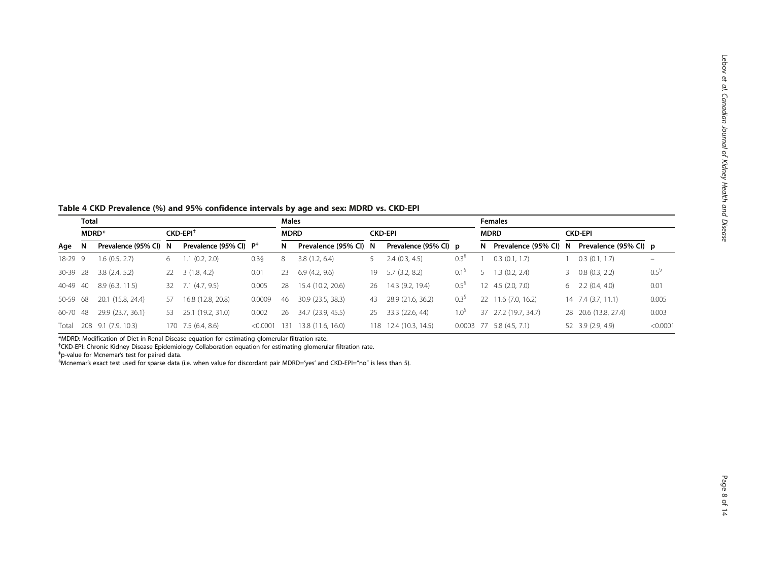<span id="page-7-0"></span>Table 4 CKD Prevalence (%) and 95% confidence intervals by age and sex: MDRD vs. CKD-EPI

|          | Total             |                       |     |                                   |          |             | <b>Males</b>          |     |                       |                  |  | <b>Females</b>              |  |                                               |                   |
|----------|-------------------|-----------------------|-----|-----------------------------------|----------|-------------|-----------------------|-----|-----------------------|------------------|--|-----------------------------|--|-----------------------------------------------|-------------------|
|          | MDRD <sup>*</sup> |                       |     | $CKD-EPI†$                        |          | <b>MDRD</b> |                       |     | <b>CKD-EPI</b>        |                  |  | <b>MDRD</b>                 |  | <b>CKD-EPI</b>                                |                   |
| Age      | N                 | Prevalence (95% CI) N |     | Prevalence (95% CI) $P^{\dagger}$ |          | N           | Prevalence (95% CI) N |     | Prevalence (95% CI) p |                  |  |                             |  | N Prevalence (95% CI) N Prevalence (95% CI) p |                   |
| 18-29 9  |                   | 1.6(0.5, 2.7)         | 6.  | 1.1(0.2, 2.0)                     | 0.35     | 8           | 3.8(1.2, 6.4)         |     | 2.4(0.3, 4.5)         | $0.3^{\circ}$    |  | 0.3(0.1, 1.7)               |  | 0.3(0.1, 1.7)                                 | $\qquad \qquad -$ |
| 30-39 28 |                   | 3.8(2.4, 5.2)         | 22  | 3(1.8, 4.2)                       | 0.01     | 23          | 6.9(4.2, 9.6)         | 19  | 5.7(3.2, 8.2)         | $0.1^{\circ}$    |  | 1.3(0.2, 2.4)               |  | $3$ 0.8 (0.3, 2.2)                            | $0.5^{\circ}$     |
| 40-49 40 |                   | 8.9(6.3, 11.5)        |     | $32$ 7.1 (4.7, 9.5)               | 0.005    | 28          | 15.4 (10.2, 20.6)     | 26  | 14.3 (9.2, 19.4)      | $0.5^{\circ}$    |  | $12 \quad 4.5 \ (2.0, 7.0)$ |  | $6\quad 2.2\ (0.4, 4.0)$                      | 0.01              |
| 50-59 68 |                   | 20.1 (15.8, 24.4)     | -57 | 16.8 (12.8, 20.8)                 | 0.0009   | -46         | 30.9(23.5, 38.3)      | 43  | 28.9 (21.6, 36.2)     | $0.3^{\circ}$    |  | 22 11.6 (7.0, 16.2)         |  | $14$ 7.4 (3.7, 11.1)                          | 0.005             |
| 60-70 48 |                   | 29.9 (23.7, 36.1)     |     | 53 25.1 (19.2, 31.0)              | 0.002    | 26          | 34.7 (23.9, 45.5)     | 25. | 33.3 (22.6, 44)       | 1.0 <sup>9</sup> |  | 37 27.2 (19.7, 34.7)        |  | 28 20.6 (13.8, 27.4)                          | 0.003             |
| Total    |                   | 208 9.1 (7.9, 10.3)   |     | 170 7.5 (6.4, 8.6)                | < 0.0001 | 131         | 13.8 (11.6, 16.0)     |     | 118 12.4 (10.3, 14.5) |                  |  | $0.0003$ 77 5.8 (4.5, 7.1)  |  | 52 3.9 (2.9, 4.9)                             | < 0.0001          |

\*MDRD: Modification of Diet in Renal Disease equation for estimating glomerular filtration rate.

† CKD-EPI: Chronic Kidney Disease Epidemiology Collaboration equation for estimating glomerular filtration rate.

‡ p-value for Mcnemar's test for paired data. §

<sup>§</sup>Mcnemar's exact test used for sparse data (i.e. when value for discordant pair MDRD='yes' and CKD-EPI="no" is less than 5).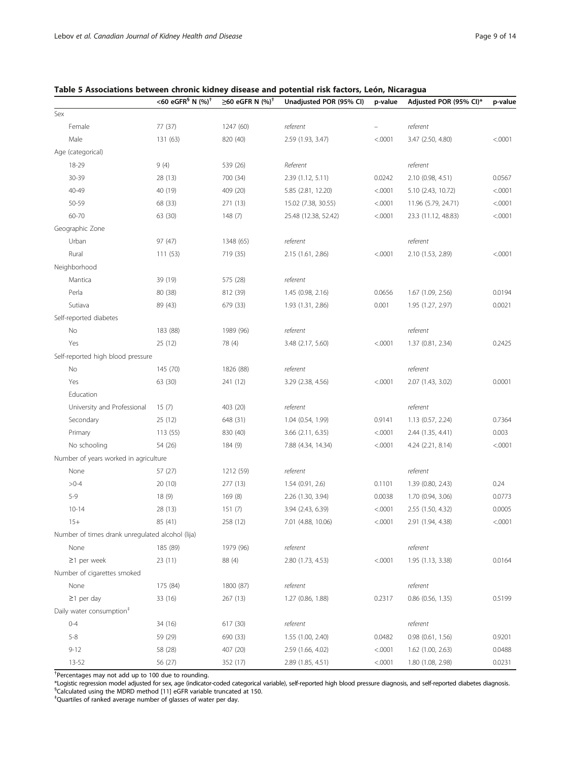|                                                  | <60 eGFR <sup>§</sup> N $(%)^{\dagger}$ | ≥60 eGFR N (%) <sup>†</sup> | Unadjusted POR (95% CI) | p-value | Adjusted POR (95% CI)* | p-value |
|--------------------------------------------------|-----------------------------------------|-----------------------------|-------------------------|---------|------------------------|---------|
| Sex                                              |                                         |                             |                         |         |                        |         |
| Female                                           | 77 (37)                                 | 1247 (60)                   | referent                |         | referent               |         |
| Male                                             | 131 (63)                                | 820 (40)                    | 2.59 (1.93, 3.47)       | < .0001 | 3.47 (2.50, 4.80)      | < .0001 |
| Age (categorical)                                |                                         |                             |                         |         |                        |         |
| 18-29                                            | 9(4)                                    | 539 (26)                    | Referent                |         | referent               |         |
| 30-39                                            | 28 (13)                                 | 700 (34)                    | 2.39 (1.12, 5.11)       | 0.0242  | 2.10 (0.98, 4.51)      | 0.0567  |
| 40-49                                            | 40 (19)                                 | 409 (20)                    | 5.85 (2.81, 12.20)      | < .0001 | 5.10 (2.43, 10.72)     | < .0001 |
| 50-59                                            | 68 (33)                                 | 271 (13)                    | 15.02 (7.38, 30.55)     | < .0001 | 11.96 (5.79, 24.71)    | < .0001 |
| 60-70                                            | 63 (30)                                 | 148(7)                      | 25.48 (12.38, 52.42)    | < .0001 | 23.3 (11.12, 48.83)    | < .0001 |
| Geographic Zone                                  |                                         |                             |                         |         |                        |         |
| Urban                                            | 97 (47)                                 | 1348 (65)                   | referent                |         | referent               |         |
| Rural                                            | 111(53)                                 | 719 (35)                    | 2.15 (1.61, 2.86)       | < .0001 | 2.10 (1.53, 2.89)      | < .0001 |
| Neighborhood                                     |                                         |                             |                         |         |                        |         |
| Mantica                                          | 39 (19)                                 | 575 (28)                    | referent                |         |                        |         |
| Perla                                            | 80 (38)                                 | 812 (39)                    | 1.45 (0.98, 2.16)       | 0.0656  | 1.67 (1.09, 2.56)      | 0.0194  |
| Sutiava                                          | 89 (43)                                 | 679 (33)                    | 1.93 (1.31, 2.86)       | 0.001   | 1.95 (1.27, 2.97)      | 0.0021  |
| Self-reported diabetes                           |                                         |                             |                         |         |                        |         |
| No                                               | 183 (88)                                | 1989 (96)                   | referent                |         | referent               |         |
| Yes                                              | 25 (12)                                 | 78 (4)                      | 3.48 (2.17, 5.60)       | < .0001 | 1.37 (0.81, 2.34)      | 0.2425  |
| Self-reported high blood pressure                |                                         |                             |                         |         |                        |         |
| No                                               | 145 (70)                                | 1826 (88)                   | referent                |         | referent               |         |
| Yes                                              | 63 (30)                                 | 241 (12)                    | 3.29 (2.38, 4.56)       | < .0001 | 2.07 (1.43, 3.02)      | 0.0001  |
| Education                                        |                                         |                             |                         |         |                        |         |
| University and Professional                      | 15(7)                                   | 403 (20)                    | referent                |         | referent               |         |
| Secondary                                        | 25 (12)                                 | 648 (31)                    | 1.04 (0.54, 1.99)       | 0.9141  | 1.13(0.57, 2.24)       | 0.7364  |
| Primary                                          | 113 (55)                                | 830 (40)                    | 3.66 (2.11, 6.35)       | < .0001 | 2.44 (1.35, 4.41)      | 0.003   |
| No schooling                                     | 54 (26)                                 | 184 (9)                     | 7.88 (4.34, 14.34)      | < .0001 | 4.24 (2.21, 8.14)      | < .0001 |
| Number of years worked in agriculture            |                                         |                             |                         |         |                        |         |
| None                                             | 57 (27)                                 | 1212 (59)                   | referent                |         | referent               |         |
| $>0-4$                                           | 20 (10)                                 | 277 (13)                    | 1.54 (0.91, 2.6)        | 0.1101  | 1.39 (0.80, 2.43)      | 0.24    |
| $5 - 9$                                          | 18(9)                                   | 169(8)                      | 2.26 (1.30, 3.94)       | 0.0038  | 1.70 (0.94, 3.06)      | 0.0773  |
| $10 - 14$                                        | 28 (13)                                 | 151(7)                      | 3.94 (2.43, 6.39)       | < .0001 | 2.55 (1.50, 4.32)      | 0.0005  |
| $15+$                                            | 85 (41)                                 | 258 (12)                    | 7.01 (4.88, 10.06)      | < 0001  | 2.91 (1.94, 4.38)      | < .0001 |
| Number of times drank unregulated alcohol (lija) |                                         |                             |                         |         |                        |         |
| None                                             | 185 (89)                                | 1979 (96)                   | referent                |         | referent               |         |
| $\geq$ 1 per week                                | 23 (11)                                 | 88 (4)                      | 2.80 (1.73, 4.53)       | < .0001 | 1.95 (1.13, 3.38)      | 0.0164  |
| Number of cigarettes smoked                      |                                         |                             |                         |         |                        |         |
| None                                             | 175 (84)                                | 1800 (87)                   | referent                |         | referent               |         |
| $\geq$ 1 per day                                 | 33 (16)                                 | 267 (13)                    | 1.27 (0.86, 1.88)       | 0.2317  | $0.86$ (0.56, 1.35)    | 0.5199  |
| Daily water consumption <sup>#</sup>             |                                         |                             |                         |         |                        |         |
| $0 - 4$                                          | 34 (16)                                 | 617 (30)                    | referent                |         | referent               |         |
| $5 - 8$                                          | 59 (29)                                 | 690 (33)                    | 1.55 (1.00, 2.40)       | 0.0482  | $0.98$ $(0.61, 1.56)$  | 0.9201  |
| $9 - 12$                                         | 58 (28)                                 | 407 (20)                    | 2.59 (1.66, 4.02)       | < .0001 | 1.62 (1.00, 2.63)      | 0.0488  |
| 13-52                                            | 56 (27)                                 | 352 (17)                    | 2.89 (1.85, 4.51)       | < .0001 | 1.80 (1.08, 2.98)      | 0.0231  |

<span id="page-8-0"></span>

| Table 5 Associations between chronic kidney disease and potential risk factors, León, Nicaragua |  |  |  |
|-------------------------------------------------------------------------------------------------|--|--|--|
|-------------------------------------------------------------------------------------------------|--|--|--|

† Percentages may not add up to 100 due to rounding.

\*Logistic regression model adjusted for sex, age (indicator-coded categorical variable), self-reported high blood pressure diagnosis, and self-reported diabetes diagnosis. §  $^{\circ}$ Calculated using the MDRD method [[11\]](#page-12-0) eGFR variable truncated at 150.<br>‡Quartiles of ranked average number of glasses of water per day.

Quartiles of ranked average number of glasses of water per day.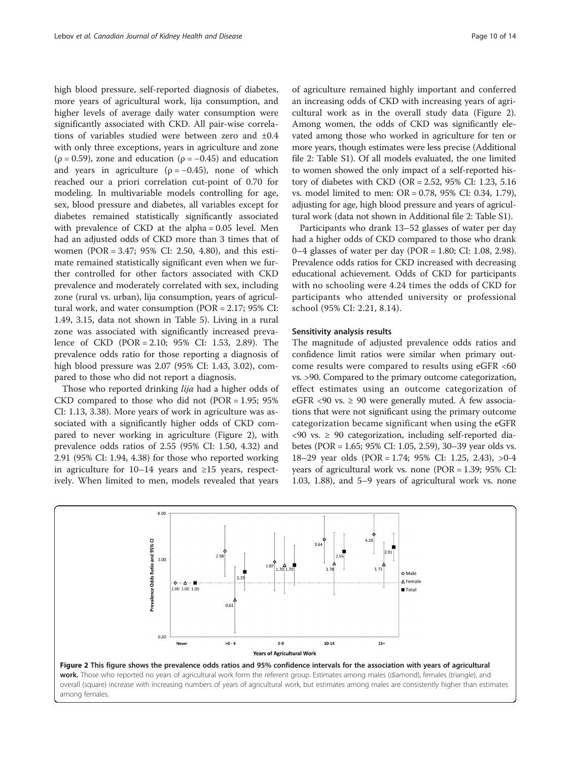high blood pressure, self-reported diagnosis of diabetes, more years of agricultural work, lija consumption, and higher levels of average daily water consumption were significantly associated with CKD. All pair-wise correlations of variables studied were between zero and ±0.4 with only three exceptions, years in agriculture and zone ( $\rho$  = 0.59), zone and education ( $\rho$  = -0.45) and education and years in agriculture ( $\rho = -0.45$ ), none of which reached our a priori correlation cut-point of 0.70 for modeling. In multivariable models controlling for age, sex, blood pressure and diabetes, all variables except for diabetes remained statistically significantly associated with prevalence of CKD at the alpha = 0.05 level. Men had an adjusted odds of CKD more than 3 times that of women (POR = 3.47; 95% CI: 2.50, 4.80), and this estimate remained statistically significant even when we further controlled for other factors associated with CKD prevalence and moderately correlated with sex, including zone (rural vs. urban), lija consumption, years of agricultural work, and water consumption (POR = 2.17; 95% CI: 1.49, 3.15, data not shown in Table [5](#page-8-0)). Living in a rural zone was associated with significantly increased prevalence of CKD (POR = 2.10; 95% CI: 1.53, 2.89). The prevalence odds ratio for those reporting a diagnosis of high blood pressure was 2.07 (95% CI: 1.43, 3.02), compared to those who did not report a diagnosis.

Those who reported drinking lija had a higher odds of CKD compared to those who did not (POR = 1.95; 95% CI: 1.13, 3.38). More years of work in agriculture was associated with a significantly higher odds of CKD compared to never working in agriculture (Figure 2), with prevalence odds ratios of 2.55 (95% CI: 1.50, 4.32) and 2.91 (95% CI: 1.94, 4.38) for those who reported working in agriculture for 10–14 years and ≥15 years, respectively. When limited to men, models revealed that years of agriculture remained highly important and conferred an increasing odds of CKD with increasing years of agricultural work as in the overall study data (Figure 2). Among women, the odds of CKD was significantly elevated among those who worked in agriculture for ten or more years, though estimates were less precise (Additional file [2](#page-12-0): Table S1). Of all models evaluated, the one limited to women showed the only impact of a self-reported history of diabetes with CKD (OR = 2.52, 95% CI: 1.23, 5.16 vs. model limited to men: OR = 0.78, 95% CI: 0.34, 1.79), adjusting for age, high blood pressure and years of agricultural work (data not shown in Additional file [2](#page-12-0): Table S1).

Participants who drank 13–52 glasses of water per day had a higher odds of CKD compared to those who drank 0–4 glasses of water per day (POR = 1.80; CI: 1.08, 2.98). Prevalence odds ratios for CKD increased with decreasing educational achievement. Odds of CKD for participants with no schooling were 4.24 times the odds of CKD for participants who attended university or professional school (95% CI: 2.21, 8.14).

#### Sensitivity analysis results

The magnitude of adjusted prevalence odds ratios and confidence limit ratios were similar when primary outcome results were compared to results using eGFR <60 vs. >90. Compared to the primary outcome categorization, effect estimates using an outcome categorization of eGFR <90 vs.  $\geq$  90 were generally muted. A few associations that were not significant using the primary outcome categorization became significant when using the eGFR <90 vs. ≥ 90 categorization, including self-reported diabetes (POR = 1.65; 95% CI: 1.05, 2.59), 30–39 year olds vs. 18–29 year olds (POR = 1.74; 95% CI: 1.25, 2.43), >0-4 years of agricultural work vs. none (POR = 1.39; 95% CI: 1.03, 1.88), and 5–9 years of agricultural work vs. none

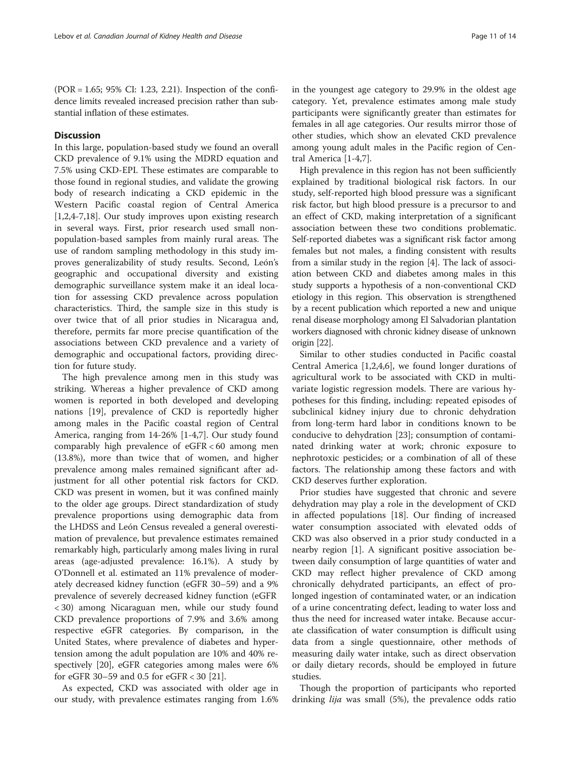(POR = 1.65; 95% CI: 1.23, 2.21). Inspection of the confidence limits revealed increased precision rather than substantial inflation of these estimates.

# Discussion

In this large, population-based study we found an overall CKD prevalence of 9.1% using the MDRD equation and 7.5% using CKD-EPI. These estimates are comparable to those found in regional studies, and validate the growing body of research indicating a CKD epidemic in the Western Pacific coastal region of Central America [[1,2,4-7](#page-12-0),[18](#page-12-0)]. Our study improves upon existing research in several ways. First, prior research used small nonpopulation-based samples from mainly rural areas. The use of random sampling methodology in this study improves generalizability of study results. Second, León's geographic and occupational diversity and existing demographic surveillance system make it an ideal location for assessing CKD prevalence across population characteristics. Third, the sample size in this study is over twice that of all prior studies in Nicaragua and, therefore, permits far more precise quantification of the associations between CKD prevalence and a variety of demographic and occupational factors, providing direction for future study.

The high prevalence among men in this study was striking. Whereas a higher prevalence of CKD among women is reported in both developed and developing nations [\[19](#page-12-0)], prevalence of CKD is reportedly higher among males in the Pacific coastal region of Central America, ranging from 14-26% [[1-4,7](#page-12-0)]. Our study found comparably high prevalence of eGFR < 60 among men (13.8%), more than twice that of women, and higher prevalence among males remained significant after adjustment for all other potential risk factors for CKD. CKD was present in women, but it was confined mainly to the older age groups. Direct standardization of study prevalence proportions using demographic data from the LHDSS and León Census revealed a general overestimation of prevalence, but prevalence estimates remained remarkably high, particularly among males living in rural areas (age-adjusted prevalence: 16.1%). A study by O'Donnell et al. estimated an 11% prevalence of moderately decreased kidney function (eGFR 30–59) and a 9% prevalence of severely decreased kidney function (eGFR < 30) among Nicaraguan men, while our study found CKD prevalence proportions of 7.9% and 3.6% among respective eGFR categories. By comparison, in the United States, where prevalence of diabetes and hypertension among the adult population are 10% and 40% respectively [[20](#page-12-0)], eGFR categories among males were 6% for eGFR 30–59 and 0.5 for eGFR < 30 [[21\]](#page-13-0).

As expected, CKD was associated with older age in our study, with prevalence estimates ranging from 1.6% in the youngest age category to 29.9% in the oldest age category. Yet, prevalence estimates among male study participants were significantly greater than estimates for females in all age categories. Our results mirror those of other studies, which show an elevated CKD prevalence among young adult males in the Pacific region of Central America [\[1](#page-12-0)-[4,7\]](#page-12-0).

High prevalence in this region has not been sufficiently explained by traditional biological risk factors. In our study, self-reported high blood pressure was a significant risk factor, but high blood pressure is a precursor to and an effect of CKD, making interpretation of a significant association between these two conditions problematic. Self-reported diabetes was a significant risk factor among females but not males, a finding consistent with results from a similar study in the region [[4\]](#page-12-0). The lack of association between CKD and diabetes among males in this study supports a hypothesis of a non-conventional CKD etiology in this region. This observation is strengthened by a recent publication which reported a new and unique renal disease morphology among El Salvadorian plantation workers diagnosed with chronic kidney disease of unknown origin [\[22\]](#page-13-0).

Similar to other studies conducted in Pacific coastal Central America [\[1,2,4](#page-12-0),[6](#page-12-0)], we found longer durations of agricultural work to be associated with CKD in multivariate logistic regression models. There are various hypotheses for this finding, including: repeated episodes of subclinical kidney injury due to chronic dehydration from long-term hard labor in conditions known to be conducive to dehydration [[23](#page-13-0)]; consumption of contaminated drinking water at work; chronic exposure to nephrotoxic pesticides; or a combination of all of these factors. The relationship among these factors and with CKD deserves further exploration.

Prior studies have suggested that chronic and severe dehydration may play a role in the development of CKD in affected populations [\[18\]](#page-12-0). Our finding of increased water consumption associated with elevated odds of CKD was also observed in a prior study conducted in a nearby region [\[1](#page-12-0)]. A significant positive association between daily consumption of large quantities of water and CKD may reflect higher prevalence of CKD among chronically dehydrated participants, an effect of prolonged ingestion of contaminated water, or an indication of a urine concentrating defect, leading to water loss and thus the need for increased water intake. Because accurate classification of water consumption is difficult using data from a single questionnaire, other methods of measuring daily water intake, such as direct observation or daily dietary records, should be employed in future studies.

Though the proportion of participants who reported drinking lija was small (5%), the prevalence odds ratio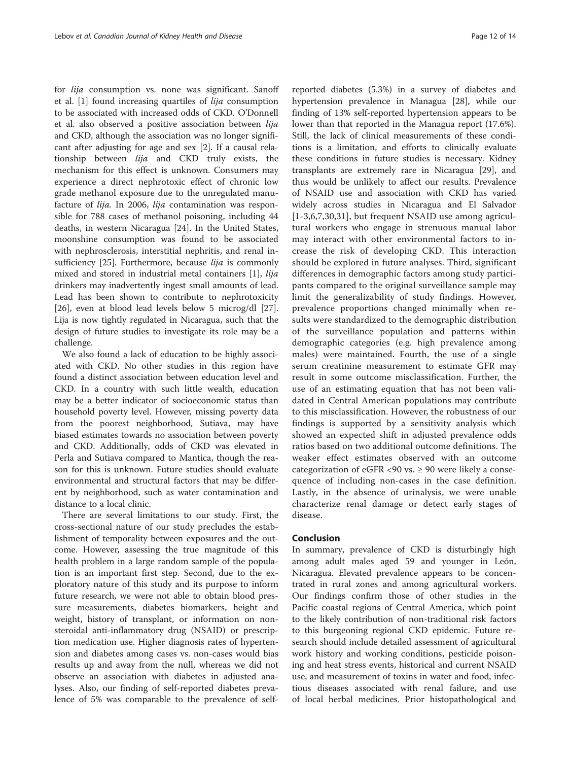for lija consumption vs. none was significant. Sanoff et al. [\[1](#page-12-0)] found increasing quartiles of lija consumption to be associated with increased odds of CKD. O'Donnell et al. also observed a positive association between lija and CKD, although the association was no longer significant after adjusting for age and sex [[2\]](#page-12-0). If a causal relationship between lija and CKD truly exists, the mechanism for this effect is unknown. Consumers may experience a direct nephrotoxic effect of chronic low grade methanol exposure due to the unregulated manufacture of lija. In 2006, lija contamination was responsible for 788 cases of methanol poisoning, including 44 deaths, in western Nicaragua [[24](#page-13-0)]. In the United States, moonshine consumption was found to be associated with nephrosclerosis, interstitial nephritis, and renal in-sufficiency [[25\]](#page-13-0). Furthermore, because *lija* is commonly mixed and stored in industrial metal containers [\[1](#page-12-0)], lija drinkers may inadvertently ingest small amounts of lead. Lead has been shown to contribute to nephrotoxicity [[26\]](#page-13-0), even at blood lead levels below 5 microg/dl [\[27](#page-13-0)]. Lija is now tightly regulated in Nicaragua, such that the design of future studies to investigate its role may be a challenge.

We also found a lack of education to be highly associated with CKD. No other studies in this region have found a distinct association between education level and CKD. In a country with such little wealth, education may be a better indicator of socioeconomic status than household poverty level. However, missing poverty data from the poorest neighborhood, Sutiava, may have biased estimates towards no association between poverty and CKD. Additionally, odds of CKD was elevated in Perla and Sutiava compared to Mantica, though the reason for this is unknown. Future studies should evaluate environmental and structural factors that may be different by neighborhood, such as water contamination and distance to a local clinic.

There are several limitations to our study. First, the cross-sectional nature of our study precludes the establishment of temporality between exposures and the outcome. However, assessing the true magnitude of this health problem in a large random sample of the population is an important first step. Second, due to the exploratory nature of this study and its purpose to inform future research, we were not able to obtain blood pressure measurements, diabetes biomarkers, height and weight, history of transplant, or information on nonsteroidal anti-inflammatory drug (NSAID) or prescription medication use. Higher diagnosis rates of hypertension and diabetes among cases vs. non-cases would bias results up and away from the null, whereas we did not observe an association with diabetes in adjusted analyses. Also, our finding of self-reported diabetes prevalence of 5% was comparable to the prevalence of self-

reported diabetes (5.3%) in a survey of diabetes and hypertension prevalence in Managua [\[28\]](#page-13-0), while our finding of 13% self-reported hypertension appears to be lower than that reported in the Managua report (17.6%). Still, the lack of clinical measurements of these conditions is a limitation, and efforts to clinically evaluate these conditions in future studies is necessary. Kidney transplants are extremely rare in Nicaragua [\[29\]](#page-13-0), and thus would be unlikely to affect our results. Prevalence of NSAID use and association with CKD has varied widely across studies in Nicaragua and El Salvador [[1](#page-12-0)-[3,6,7](#page-12-0),[30,31](#page-13-0)], but frequent NSAID use among agricultural workers who engage in strenuous manual labor may interact with other environmental factors to increase the risk of developing CKD. This interaction should be explored in future analyses. Third, significant differences in demographic factors among study participants compared to the original surveillance sample may limit the generalizability of study findings. However, prevalence proportions changed minimally when results were standardized to the demographic distribution of the surveillance population and patterns within demographic categories (e.g. high prevalence among males) were maintained. Fourth, the use of a single serum creatinine measurement to estimate GFR may result in some outcome misclassification. Further, the use of an estimating equation that has not been validated in Central American populations may contribute to this misclassification. However, the robustness of our findings is supported by a sensitivity analysis which showed an expected shift in adjusted prevalence odds ratios based on two additional outcome definitions. The weaker effect estimates observed with an outcome categorization of eGFR <90 vs.  $\geq$  90 were likely a consequence of including non-cases in the case definition. Lastly, in the absence of urinalysis, we were unable characterize renal damage or detect early stages of disease.

# Conclusion

In summary, prevalence of CKD is disturbingly high among adult males aged 59 and younger in León, Nicaragua. Elevated prevalence appears to be concentrated in rural zones and among agricultural workers. Our findings confirm those of other studies in the Pacific coastal regions of Central America, which point to the likely contribution of non-traditional risk factors to this burgeoning regional CKD epidemic. Future research should include detailed assessment of agricultural work history and working conditions, pesticide poisoning and heat stress events, historical and current NSAID use, and measurement of toxins in water and food, infectious diseases associated with renal failure, and use of local herbal medicines. Prior histopathological and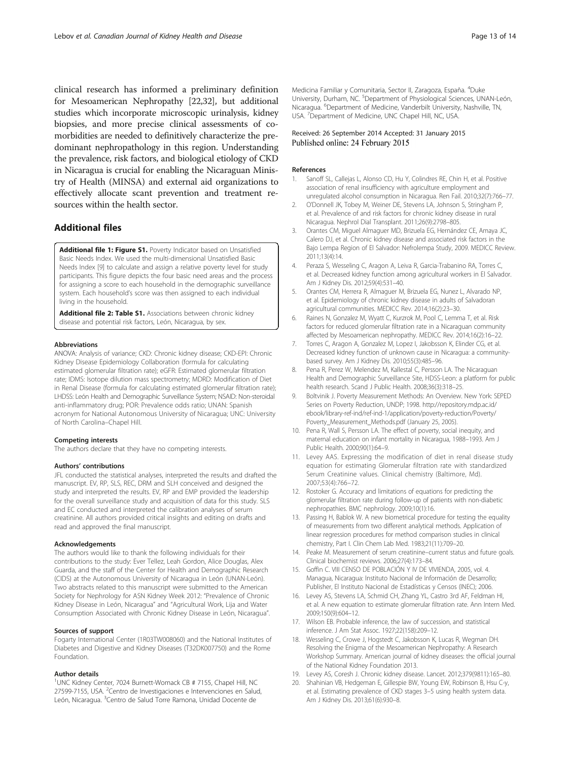<span id="page-12-0"></span>clinical research has informed a preliminary definition for Mesoamerican Nephropathy [[22](#page-13-0),[32](#page-13-0)], but additional studies which incorporate microscopic urinalysis, kidney biopsies, and more precise clinical assessments of comorbidities are needed to definitively characterize the predominant nephropathology in this region. Understanding the prevalence, risk factors, and biological etiology of CKD in Nicaragua is crucial for enabling the Nicaraguan Ministry of Health (MINSA) and external aid organizations to effectively allocate scant prevention and treatment resources within the health sector.

## Additional files

[Additional file 1: Figure S1.](http://www.cjkhd.org/content/supplementary/s40697-015-0041-1-s1.jpeg) Poverty Indicator based on Unsatisfied Basic Needs Index. We used the multi-dimensional Unsatisfied Basic Needs Index [9] to calculate and assign a relative poverty level for study participants. This figure depicts the four basic need areas and the process for assigning a score to each household in the demographic surveillance system. Each household's score was then assigned to each individual living in the household.

[Additional file 2: Table S1.](http://www.cjkhd.org/content/supplementary/s40697-015-0041-1-s2.docx) Associations between chronic kidney disease and potential risk factors, León, Nicaragua, by sex.

#### Abbreviations

ANOVA: Analysis of variance; CKD: Chronic kidney disease; CKD-EPI: Chronic Kidney Disease Epidemiology Collaboration (formula for calculating estimated glomerular filtration rate); eGFR: Estimated glomerular filtration rate; IDMS: Isotope dilution mass spectrometry; MDRD: Modification of Diet in Renal Disease (formula for calculating estimated glomerular filtration rate); LHDSS: León Health and Demographic Surveillance System; NSAID: Non-steroidal anti-inflammatory drug; POR: Prevalence odds ratio; UNAN: Spanish acronym for National Autonomous University of Nicaragua; UNC: University of North Carolina–Chapel Hill.

#### Competing interests

The authors declare that they have no competing interests.

#### Authors' contributions

JFL conducted the statistical analyses, interpreted the results and drafted the manuscript. EV, RP, SLS, REC, DRM and SLH conceived and designed the study and interpreted the results. EV, RP and EMP provided the leadership for the overall surveillance study and acquisition of data for this study. SLS and EC conducted and interpreted the calibration analyses of serum creatinine. All authors provided critical insights and editing on drafts and read and approved the final manuscript.

#### Acknowledgements

The authors would like to thank the following individuals for their contributions to the study: Ever Tellez, Leah Gordon, Alice Douglas, Alex Guarda, and the staff of the Center for Health and Demographic Research (CIDS) at the Autonomous University of Nicaragua in León (UNAN-León). Two abstracts related to this manuscript were submitted to the American Society for Nephrology for ASN Kidney Week 2012: "Prevalence of Chronic Kidney Disease in León, Nicaragua" and "Agricultural Work, Lija and Water Consumption Associated with Chronic Kidney Disease in León, Nicaragua".

#### Sources of support

Fogarty International Center (1R03TW008060) and the National Institutes of Diabetes and Digestive and Kidney Diseases (T32DK007750) and the Rome Foundation.

#### Author details

<sup>1</sup>UNC Kidney Center, 7024 Burnett-Womack CB # 7155, Chapel Hill, NC 27599-7155, USA. <sup>2</sup>Centro de Investigaciones e Intervenciones en Salud, León, Nicaragua. <sup>3</sup>Centro de Salud Torre Ramona, Unidad Docente de

Medicina Familiar y Comunitaria, Sector II, Zaragoza, España. <sup>4</sup>Duke University, Durham, NC. <sup>5</sup>Department of Physiological Sciences, UNAN-León, Nicaragua. <sup>6</sup>Department of Medicine, Vanderbilt University, Nashville, TN, USA. <sup>7</sup> Department of Medicine, UNC Chapel Hill, NC, USA

#### Received: 26 September 2014 Accepted: 31 January 2015 Published online: 24 February 2015

#### References

- 1. Sanoff SL, Callejas L, Alonso CD, Hu Y, Colindres RE, Chin H, et al. Positive association of renal insufficiency with agriculture employment and unregulated alcohol consumption in Nicaragua. Ren Fail. 2010;32(7):766–77.
- 2. O'Donnell JK, Tobey M, Weiner DE, Stevens LA, Johnson S, Stringham P, et al. Prevalence of and risk factors for chronic kidney disease in rural Nicaragua. Nephrol Dial Transplant. 2011;26(9):2798–805.
- 3. Orantes CM, Miguel Almaguer MD, Brizuela EG, Hernández CE, Amaya JC, Calero DJ, et al. Chronic kidney disease and associated risk factors in the Bajo Lempa Region of El Salvador: Nefrolempa Study, 2009. MEDICC Review.  $2011 \cdot 13(4) \cdot 14$
- 4. Peraza S, Wesseling C, Aragon A, Leiva R, Garcia-Trabanino RA, Torres C, et al. Decreased kidney function among agricultural workers in El Salvador. Am J Kidney Dis. 2012;59(4):531–40.
- 5. Orantes CM, Herrera R, Almaguer M, Brizuela EG, Nunez L, Alvarado NP, et al. Epidemiology of chronic kidney disease in adults of Salvadoran agricultural communities. MEDICC Rev. 2014;16(2):23–30.
- 6. Raines N, Gonzalez M, Wyatt C, Kurzrok M, Pool C, Lemma T, et al. Risk factors for reduced glomerular filtration rate in a Nicaraguan community affected by Mesoamerican nephropathy. MEDICC Rev. 2014;16(2):16–22.
- 7. Torres C, Aragon A, Gonzalez M, Lopez I, Jakobsson K, Elinder CG, et al. Decreased kidney function of unknown cause in Nicaragua: a communitybased survey. Am J Kidney Dis. 2010;55(3):485–96.
- Pena R, Perez W, Melendez M, Kallestal C, Persson LA. The Nicaraguan Health and Demographic Surveillance Site, HDSS-Leon: a platform for public health research. Scand J Public Health. 2008;36(3):318–25.
- 9. Boltvinik J. Poverty Measurement Methods: An Overview. New York: SEPED Series on Poverty Reduction, UNDP; 1998. [http://repository.mdp.ac.id/](http://repository.mdp.ac.id/ebook/library-ref-ind/ref-ind-1/application/poverty-reduction/Poverty/Poverty_Measurement_Methods.pdf) [ebook/library-ref-ind/ref-ind-1/application/poverty-reduction/Poverty/](http://repository.mdp.ac.id/ebook/library-ref-ind/ref-ind-1/application/poverty-reduction/Poverty/Poverty_Measurement_Methods.pdf) [Poverty\\_Measurement\\_Methods.pdf](http://repository.mdp.ac.id/ebook/library-ref-ind/ref-ind-1/application/poverty-reduction/Poverty/Poverty_Measurement_Methods.pdf) (January 25, 2005).
- 10. Pena R, Wall S, Persson LA. The effect of poverty, social inequity, and maternal education on infant mortality in Nicaragua, 1988–1993. Am J Public Health. 2000;90(1):64–9.
- 11. Levey AAS. Expressing the modification of diet in renal disease study equation for estimating Glomerular filtration rate with standardized Serum Creatinine values. Clinical chemistry (Baltimore, Md). 2007;53(4):766–72.
- 12. Rostoker G. Accuracy and limitations of equations for predicting the glomerular filtration rate during follow-up of patients with non-diabetic nephropathies. BMC nephrology. 2009;10(1):16.
- 13. Passing H, Bablok W. A new biometrical procedure for testing the equality of measurements from two different analytical methods. Application of linear regression procedures for method comparison studies in clinical chemistry, Part I. Clin Chem Lab Med. 1983;21(11):709–20.
- 14. Peake M. Measurement of serum creatinine–current status and future goals. Clinical biochemist reviews. 2006;27(4):173–84.
- 15. Goffin C. VIII CENSO DE POBLACIÓN Y IV DE VIVIENDA, 2005, vol. 4. Managua, Nicaragua: Instituto Nacional de Información de Desarrollo; Publisher, El Instituto Nacional de Estadísticas y Censos (INEC); 2006.
- 16. Levey AS, Stevens LA, Schmid CH, Zhang YL, Castro 3rd AF, Feldman HI, et al. A new equation to estimate glomerular filtration rate. Ann Intern Med. 2009;150(9):604–12.
- 17. Wilson EB. Probable inference, the law of succession, and statistical inference. J Am Stat Assoc. 1927;22(158):209–12.
- 18. Wesseling C, Crowe J, Hogstedt C, Jakobsson K, Lucas R, Wegman DH. Resolving the Enigma of the Mesoamerican Nephropathy: A Research Workshop Summary. American journal of kidney diseases: the official journal of the National Kidney Foundation 2013.
- 19. Levey AS, Coresh J. Chronic kidney disease. Lancet. 2012;379(9811):165–80.
- 20. Shahinian VB, Hedgeman E, Gillespie BW, Young EW, Robinson B, Hsu C-y, et al. Estimating prevalence of CKD stages 3–5 using health system data. Am J Kidney Dis. 2013;61(6):930–8.